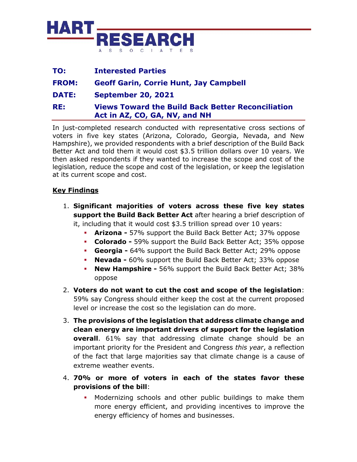

| TO:          | <b>Interested Parties</b>                                                                 |
|--------------|-------------------------------------------------------------------------------------------|
| <b>FROM:</b> | <b>Geoff Garin, Corrie Hunt, Jay Campbell</b>                                             |
| <b>DATE:</b> | <b>September 20, 2021</b>                                                                 |
| RE:          | <b>Views Toward the Build Back Better Reconciliation</b><br>Act in AZ, CO, GA, NV, and NH |

In just-completed research conducted with representative cross sections of voters in five key states (Arizona, Colorado, Georgia, Nevada, and New Hampshire), we provided respondents with a brief description of the Build Back Better Act and told them it would cost \$3.5 trillion dollars over 10 years. We then asked respondents if they wanted to increase the scope and cost of the legislation, reduce the scope and cost of the legislation, or keep the legislation at its current scope and cost.

## **Key Findings**

- 1. **Significant majorities of voters across these five key states support the Build Back Better Act** after hearing a brief description of it, including that it would cost \$3.5 trillion spread over 10 years:
	- **Arizona -** 57% support the Build Back Better Act; 37% oppose
	- **Colorado -** 59% support the Build Back Better Act; 35% oppose
	- **Georgia -** 64% support the Build Back Better Act; 29% oppose
	- **Nevada -** 60% support the Build Back Better Act; 33% oppose
	- **New Hampshire -** 56% support the Build Back Better Act; 38% oppose
- 2. **Voters do not want to cut the cost and scope of the legislation**: 59% say Congress should either keep the cost at the current proposed level or increase the cost so the legislation can do more.
- 3. **The provisions of the legislation that address climate change and clean energy are important drivers of support for the legislation overall**. 61% say that addressing climate change should be an important priority for the President and Congress *this year*, a reflection of the fact that large majorities say that climate change is a cause of extreme weather events.
- 4. **70% or more of voters in each of the states favor these provisions of the bill**:
	- Modernizing schools and other public buildings to make them more energy efficient, and providing incentives to improve the energy efficiency of homes and businesses.